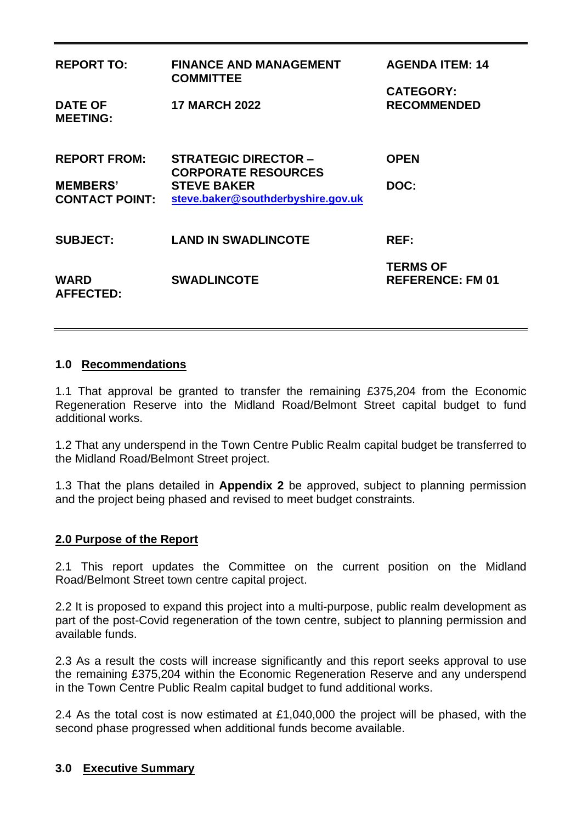| <b>REPORT TO:</b>                        | <b>FINANCE AND MANAGEMENT</b><br><b>COMMITTEE</b>         | <b>AGENDA ITEM: 14</b><br><b>CATEGORY:</b> |  |
|------------------------------------------|-----------------------------------------------------------|--------------------------------------------|--|
| <b>DATE OF</b><br><b>MEETING:</b>        | <b>17 MARCH 2022</b>                                      | <b>RECOMMENDED</b>                         |  |
| <b>REPORT FROM:</b>                      | <b>STRATEGIC DIRECTOR -</b><br><b>CORPORATE RESOURCES</b> | <b>OPEN</b>                                |  |
| <b>MEMBERS'</b><br><b>CONTACT POINT:</b> | <b>STEVE BAKER</b><br>steve.baker@southderbyshire.gov.uk  | DOC:                                       |  |
| <b>SUBJECT:</b>                          | <b>LAND IN SWADLINCOTE</b>                                | <b>REF:</b>                                |  |
| <b>WARD</b><br><b>AFFECTED:</b>          | <b>SWADLINCOTE</b>                                        | <b>TERMS OF</b><br><b>REFERENCE: FM 01</b> |  |

### **1.0 Recommendations**

1.1 That approval be granted to transfer the remaining £375,204 from the Economic Regeneration Reserve into the Midland Road/Belmont Street capital budget to fund additional works.

1.2 That any underspend in the Town Centre Public Realm capital budget be transferred to the Midland Road/Belmont Street project.

1.3 That the plans detailed in **Appendix 2** be approved, subject to planning permission and the project being phased and revised to meet budget constraints.

#### **2.0 Purpose of the Report**

2.1 This report updates the Committee on the current position on the Midland Road/Belmont Street town centre capital project.

2.2 It is proposed to expand this project into a multi-purpose, public realm development as part of the post-Covid regeneration of the town centre, subject to planning permission and available funds.

2.3 As a result the costs will increase significantly and this report seeks approval to use the remaining £375,204 within the Economic Regeneration Reserve and any underspend in the Town Centre Public Realm capital budget to fund additional works.

2.4 As the total cost is now estimated at £1,040,000 the project will be phased, with the second phase progressed when additional funds become available.

### **3.0 Executive Summary**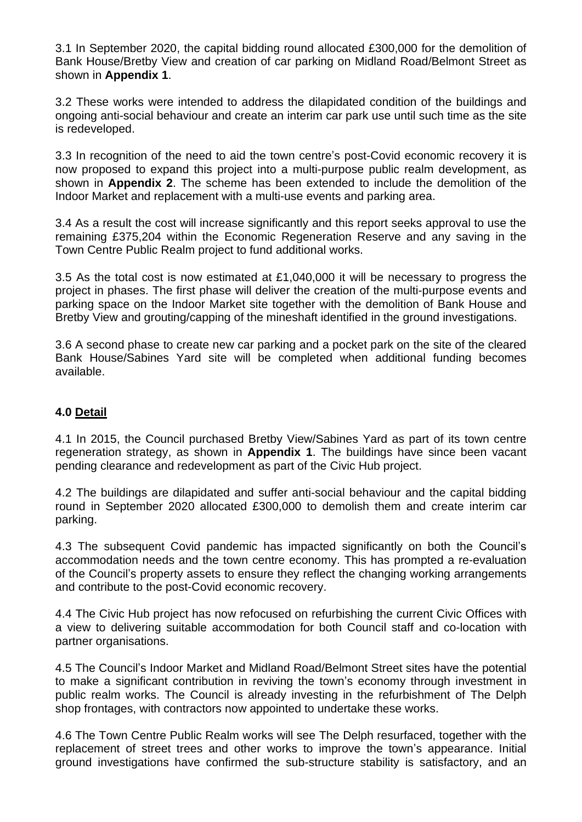3.1 In September 2020, the capital bidding round allocated £300,000 for the demolition of Bank House/Bretby View and creation of car parking on Midland Road/Belmont Street as shown in **Appendix 1**.

3.2 These works were intended to address the dilapidated condition of the buildings and ongoing anti-social behaviour and create an interim car park use until such time as the site is redeveloped.

3.3 In recognition of the need to aid the town centre's post-Covid economic recovery it is now proposed to expand this project into a multi-purpose public realm development, as shown in **Appendix 2**. The scheme has been extended to include the demolition of the Indoor Market and replacement with a multi-use events and parking area.

3.4 As a result the cost will increase significantly and this report seeks approval to use the remaining £375,204 within the Economic Regeneration Reserve and any saving in the Town Centre Public Realm project to fund additional works.

3.5 As the total cost is now estimated at £1,040,000 it will be necessary to progress the project in phases. The first phase will deliver the creation of the multi-purpose events and parking space on the Indoor Market site together with the demolition of Bank House and Bretby View and grouting/capping of the mineshaft identified in the ground investigations.

3.6 A second phase to create new car parking and a pocket park on the site of the cleared Bank House/Sabines Yard site will be completed when additional funding becomes available.

### **4.0 Detail**

4.1 In 2015, the Council purchased Bretby View/Sabines Yard as part of its town centre regeneration strategy, as shown in **Appendix 1**. The buildings have since been vacant pending clearance and redevelopment as part of the Civic Hub project.

4.2 The buildings are dilapidated and suffer anti-social behaviour and the capital bidding round in September 2020 allocated £300,000 to demolish them and create interim car parking.

4.3 The subsequent Covid pandemic has impacted significantly on both the Council's accommodation needs and the town centre economy. This has prompted a re-evaluation of the Council's property assets to ensure they reflect the changing working arrangements and contribute to the post-Covid economic recovery.

4.4 The Civic Hub project has now refocused on refurbishing the current Civic Offices with a view to delivering suitable accommodation for both Council staff and co-location with partner organisations.

4.5 The Council's Indoor Market and Midland Road/Belmont Street sites have the potential to make a significant contribution in reviving the town's economy through investment in public realm works. The Council is already investing in the refurbishment of The Delph shop frontages, with contractors now appointed to undertake these works.

4.6 The Town Centre Public Realm works will see The Delph resurfaced, together with the replacement of street trees and other works to improve the town's appearance. Initial ground investigations have confirmed the sub-structure stability is satisfactory, and an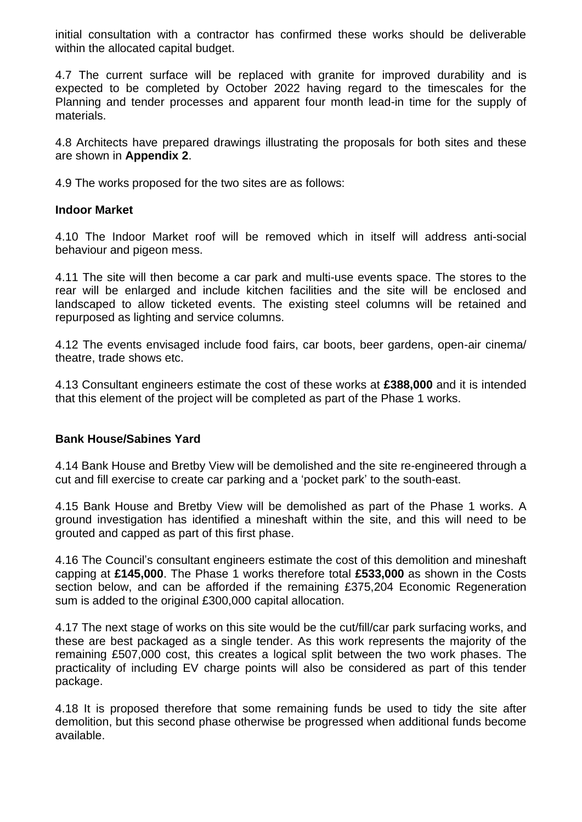initial consultation with a contractor has confirmed these works should be deliverable within the allocated capital budget.

4.7 The current surface will be replaced with granite for improved durability and is expected to be completed by October 2022 having regard to the timescales for the Planning and tender processes and apparent four month lead-in time for the supply of materials.

4.8 Architects have prepared drawings illustrating the proposals for both sites and these are shown in **Appendix 2**.

4.9 The works proposed for the two sites are as follows:

### **Indoor Market**

4.10 The Indoor Market roof will be removed which in itself will address anti-social behaviour and pigeon mess.

4.11 The site will then become a car park and multi-use events space. The stores to the rear will be enlarged and include kitchen facilities and the site will be enclosed and landscaped to allow ticketed events. The existing steel columns will be retained and repurposed as lighting and service columns.

4.12 The events envisaged include food fairs, car boots, beer gardens, open-air cinema/ theatre, trade shows etc.

4.13 Consultant engineers estimate the cost of these works at **£388,000** and it is intended that this element of the project will be completed as part of the Phase 1 works.

### **Bank House/Sabines Yard**

4.14 Bank House and Bretby View will be demolished and the site re-engineered through a cut and fill exercise to create car parking and a 'pocket park' to the south-east.

4.15 Bank House and Bretby View will be demolished as part of the Phase 1 works. A ground investigation has identified a mineshaft within the site, and this will need to be grouted and capped as part of this first phase.

4.16 The Council's consultant engineers estimate the cost of this demolition and mineshaft capping at **£145,000**. The Phase 1 works therefore total **£533,000** as shown in the Costs section below, and can be afforded if the remaining £375,204 Economic Regeneration sum is added to the original £300,000 capital allocation.

4.17 The next stage of works on this site would be the cut/fill/car park surfacing works, and these are best packaged as a single tender. As this work represents the majority of the remaining £507,000 cost, this creates a logical split between the two work phases. The practicality of including EV charge points will also be considered as part of this tender package.

4.18 It is proposed therefore that some remaining funds be used to tidy the site after demolition, but this second phase otherwise be progressed when additional funds become available.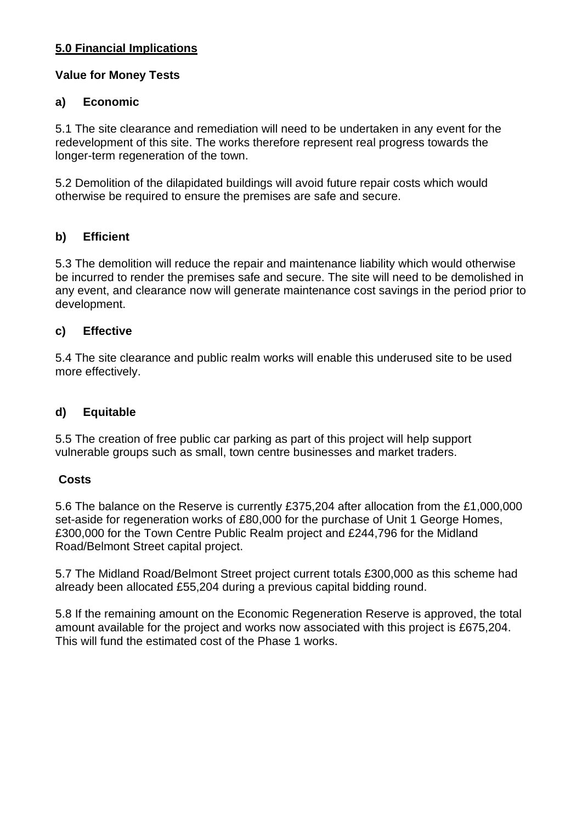# **5.0 Financial Implications**

## **Value for Money Tests**

# **a) Economic**

5.1 The site clearance and remediation will need to be undertaken in any event for the redevelopment of this site. The works therefore represent real progress towards the longer-term regeneration of the town.

5.2 Demolition of the dilapidated buildings will avoid future repair costs which would otherwise be required to ensure the premises are safe and secure.

# **b) Efficient**

5.3 The demolition will reduce the repair and maintenance liability which would otherwise be incurred to render the premises safe and secure. The site will need to be demolished in any event, and clearance now will generate maintenance cost savings in the period prior to development.

# **c) Effective**

5.4 The site clearance and public realm works will enable this underused site to be used more effectively.

## **d) Equitable**

5.5 The creation of free public car parking as part of this project will help support vulnerable groups such as small, town centre businesses and market traders.

## **Costs**

5.6 The balance on the Reserve is currently £375,204 after allocation from the £1,000,000 set-aside for regeneration works of £80,000 for the purchase of Unit 1 George Homes, £300,000 for the Town Centre Public Realm project and £244,796 for the Midland Road/Belmont Street capital project.

5.7 The Midland Road/Belmont Street project current totals £300,000 as this scheme had already been allocated £55,204 during a previous capital bidding round.

5.8 If the remaining amount on the Economic Regeneration Reserve is approved, the total amount available for the project and works now associated with this project is £675,204. This will fund the estimated cost of the Phase 1 works.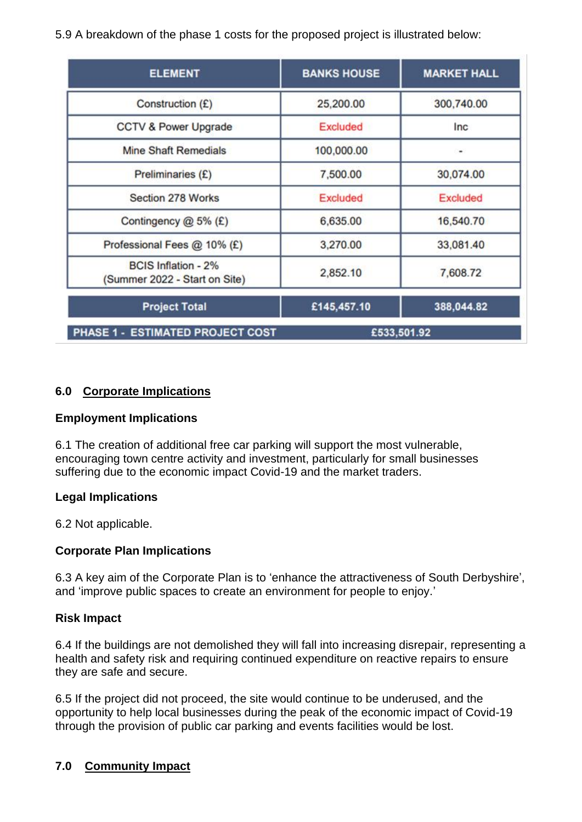5.9 A breakdown of the phase 1 costs for the proposed project is illustrated below:

| <b>ELEMENT</b>                                              | <b>BANKS HOUSE</b> | <b>MARKET HALL</b> |
|-------------------------------------------------------------|--------------------|--------------------|
| Construction (£)                                            | 25,200.00          | 300,740.00         |
| CCTV & Power Upgrade                                        | Excluded           | Inc                |
| <b>Mine Shaft Remedials</b>                                 | 100,000.00         | ۰                  |
| Preliminaries (£)                                           | 7,500.00           | 30,074.00          |
| Section 278 Works                                           | Excluded           | <b>Excluded</b>    |
| Contingency @ 5% (£)                                        | 6,635.00           | 16,540.70          |
| Professional Fees @ 10% (£)                                 | 3,270.00           | 33,081.40          |
| <b>BCIS Inflation - 2%</b><br>(Summer 2022 - Start on Site) | 2,852.10           | 7,608.72           |
| <b>Project Total</b>                                        | £145,457.10        | 388,044.82         |
| PHASE 1 - ESTIMATED PROJECT COST                            |                    | £533,501.92        |

## **6.0 Corporate Implications**

## **Employment Implications**

6.1 The creation of additional free car parking will support the most vulnerable, encouraging town centre activity and investment, particularly for small businesses suffering due to the economic impact Covid-19 and the market traders.

### **Legal Implications**

6.2 Not applicable.

### **Corporate Plan Implications**

6.3 A key aim of the Corporate Plan is to 'enhance the attractiveness of South Derbyshire', and 'improve public spaces to create an environment for people to enjoy.'

### **Risk Impact**

6.4 If the buildings are not demolished they will fall into increasing disrepair, representing a health and safety risk and requiring continued expenditure on reactive repairs to ensure they are safe and secure.

6.5 If the project did not proceed, the site would continue to be underused, and the opportunity to help local businesses during the peak of the economic impact of Covid-19 through the provision of public car parking and events facilities would be lost.

## **7.0 Community Impact**